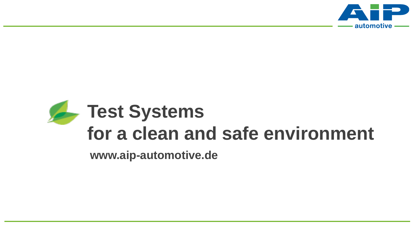

# **Test Systems for a clean and safe environment**

**www.aip-automotive.de**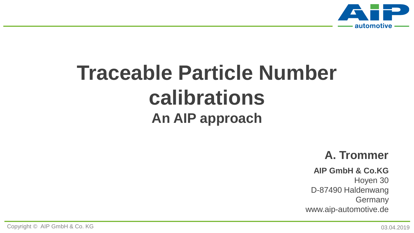

## **Traceable Particle Number calibrations An AIP approach**

#### **A. Trommer**

#### **AIP GmbH & Co.KG**

Hoyen 30 D-87490 Haldenwang **Germany** www.aip-automotive.de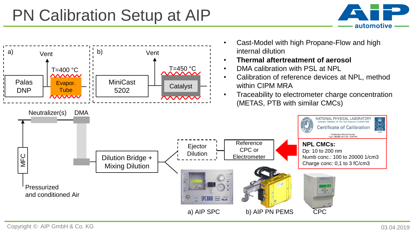### PN Calibration Setup at AIP



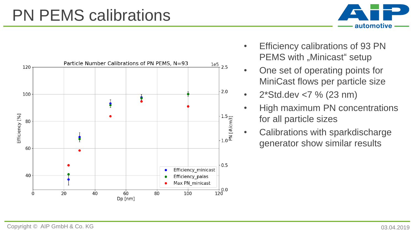## PN PEMS calibrations





- Efficiency calibrations of 93 PN PEMS with "Minicast" setup
- One set of operating points for MiniCast flows per particle size
- $2*Std.deg7% (23 nm)$
- High maximum PN concentrations for all particle sizes
- Calibrations with sparkdischarge generator show similar results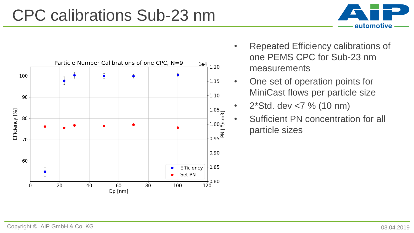#### CPC calibrations Sub-23 nm



- Repeated Efficiency calibrations of one PEMS CPC for Sub-23 nm measurements
- One set of operation points for MiniCast flows per particle size
- 2\*Std. dev <7 % (10 nm)
- Sufficient PN concentration for all particle sizes

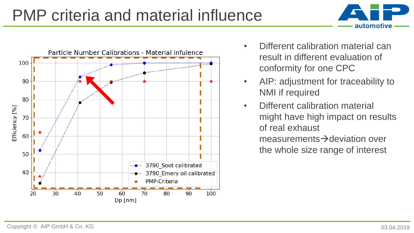## PMP criteria and material influence





- Different calibration material can result in different evaluation of conformity for one CPC
- AIP: adjustment for traceability to NMI if required
- Different calibration material might have high impact on results of real exhaust measurements $\rightarrow$ deviation over the whole size range of interest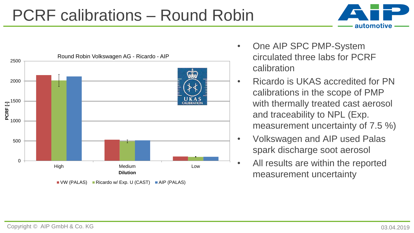#### PCRF calibrations – Round Robin





 $\blacksquare$  VW (PALAS)  $\blacksquare$  Ricardo w/ Exp. U (CAST)  $\blacksquare$  AIP (PALAS)

- One AIP SPC PMP-System circulated three labs for PCRF calibration
- Ricardo is UKAS accredited for PN calibrations in the scope of PMP with thermally treated cast aerosol and traceability to NPL (Exp. measurement uncertainty of 7.5 %)
- Volkswagen and AIP used Palas spark discharge soot aerosol
- All results are within the reported measurement uncertainty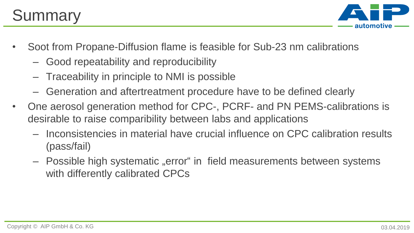

- Soot from Propane-Diffusion flame is feasible for Sub-23 nm calibrations
	- Good repeatability and reproducibility
	- Traceability in principle to NMI is possible
	- Generation and aftertreatment procedure have to be defined clearly
- One aerosol generation method for CPC-, PCRF- and PN PEMS-calibrations is desirable to raise comparibility between labs and applications
	- Inconsistencies in material have crucial influence on CPC calibration results (pass/fail)
	- Possible high systematic "error" in field measurements between systems with differently calibrated CPCs